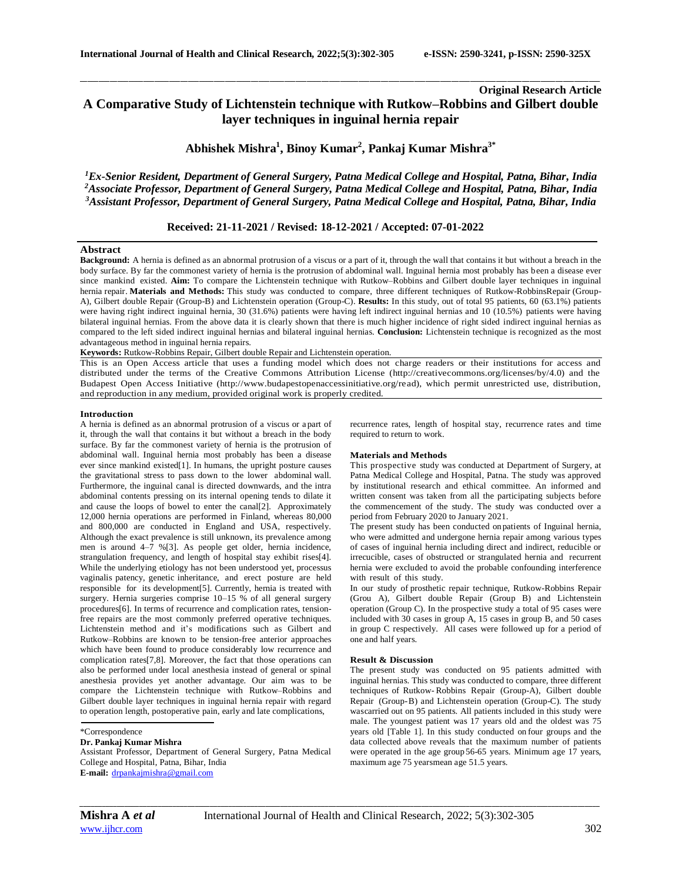# **Original Research Article A Comparative Study of Lichtenstein technique with Rutkow–Robbins and Gilbert double layer techniques in inguinal hernia repair**

\_\_\_\_\_\_\_\_\_\_\_\_\_\_\_\_\_\_\_\_\_\_\_\_\_\_\_\_\_\_\_\_\_\_\_\_\_\_\_\_\_\_\_\_\_\_\_\_\_\_\_\_\_\_\_\_\_\_\_\_\_\_\_\_\_\_\_\_\_\_\_\_\_\_\_\_\_\_\_\_\_\_\_\_\_\_\_\_\_\_\_\_\_\_\_\_\_\_\_\_\_\_\_\_\_\_\_\_\_\_\_\_\_\_\_\_\_\_\_\_\_\_\_\_\_\_\_\_\_\_\_\_\_\_\_\_\_\_\_\_

**Abhishek Mishra<sup>1</sup> , Binoy Kumar<sup>2</sup> , Pankaj Kumar Mishra3\***

*<sup>1</sup>Ex-Senior Resident, Department of General Surgery, Patna Medical College and Hospital, Patna, Bihar, India <sup>2</sup>Associate Professor, Department of General Surgery, Patna Medical College and Hospital, Patna, Bihar, India <sup>3</sup>Assistant Professor, Department of General Surgery, Patna Medical College and Hospital, Patna, Bihar, India*

# **Received: 21-11-2021 / Revised: 18-12-2021 / Accepted: 07-01-2022**

# **Abstract**

**Background:** A hernia is defined as an abnormal protrusion of a viscus or a part of it, through the wall that contains it but without a breach in the body surface. By far the commonest variety of hernia is the protrusion of abdominal wall. Inguinal hernia most probably has been a disease ever since mankind existed. **Aim:** To compare the Lichtenstein technique with Rutkow–Robbins and Gilbert double layer techniques in inguinal hernia repair. **Materials and Methods:** This study was conducted to compare, three different techniques of Rutkow-RobbinsRepair (Group-A), Gilbert double Repair (Group-B) and Lichtenstein operation (Group-C). **Results:** In this study, out of total 95 patients, 60 (63.1%) patients were having right indirect inguinal hernia, 30 (31.6%) patients were having left indirect inguinal hernias and 10 (10.5%) patients were having bilateral inguinal hernias. From the above data it is clearly shown that there is much higher incidence of right sided indirect inguinal hernias as compared to the left sided indirect inguinal hernias and bilateral inguinal hernias. **Conclusion:** Lichtenstein technique is recognized as the most advantageous method in inguinal hernia repairs.

**Keywords:** Rutkow-Robbins Repair, Gilbert double Repair and Lichtenstein operation.

This is an Open Access article that uses a funding model which does not charge readers or their institutions for access and distributed under the terms of the Creative Commons Attribution License (http://creativecommons.org/licenses/by/4.0) and the Budapest Open Access Initiative (http://www.budapestopenaccessinitiative.org/read), which permit unrestricted use, distribution, and reproduction in any medium, provided original work is properly credited.

## **Introduction**

A hernia is defined as an abnormal protrusion of a viscus or a part of it, through the wall that contains it but without a breach in the body surface. By far the commonest variety of hernia is the protrusion of abdominal wall. Inguinal hernia most probably has been a disease ever since mankind existed[1]. In humans, the upright posture causes the gravitational stress to pass down to the lower abdominal wall. Furthermore, the inguinal canal is directed downwards, and the intra abdominal contents pressing on its internal opening tends to dilate it and cause the loops of bowel to enter the canal[2]. Approximately 12,000 hernia operations are performed in Finland, whereas 80,000 and 800,000 are conducted in England and USA, respectively. Although the exact prevalence is still unknown, its prevalence among men is around 4–7 %[3]. As people get older, hernia incidence, strangulation frequency, and length of hospital stay exhibit rises[4]. While the underlying etiology has not been understood yet, processus vaginalis patency, genetic inheritance, and erect posture are held responsible for its development[5]. Currently, hernia is treated with surgery. Hernia surgeries comprise 10–15 % of all general surgery procedures[6]. In terms of recurrence and complication rates, tensionfree repairs are the most commonly preferred operative techniques. Lichtenstein method and it's modifications such as Gilbert and Rutkow–Robbins are known to be tension-free anterior approaches which have been found to produce considerably low recurrence and complication rates[7,8]. Moreover, the fact that those operations can also be performed under local anesthesia instead of general or spinal anesthesia provides yet another advantage. Our aim was to be compare the Lichtenstein technique with Rutkow–Robbins and Gilbert double layer techniques in inguinal hernia repair with regard to operation length, postoperative pain, early and late complications,

#### \*Correspondence

### **Dr. Pankaj Kumar Mishra**

Assistant Professor, Department of General Surgery, Patna Medical College and Hospital, Patna, Bihar, India **E-mail:** [drpankajmishra@gmail.com](mailto:drpankajmishra@gmail.com)

recurrence rates, length of hospital stay, recurrence rates and time required to return to work.

#### **Materials and Methods**

This prospective study was conducted at Department of Surgery, at Patna Medical College and Hospital, Patna. The study was approved by institutional research and ethical committee. An informed and written consent was taken from all the participating subjects before the commencement of the study. The study was conducted over a period from February 2020 to January 2021.

The present study has been conducted on patients of Inguinal hernia, who were admitted and undergone hernia repair among various types of cases of inguinal hernia including direct and indirect, reducible or irrecucible, cases of obstructed or strangulated hernia and recurrent hernia were excluded to avoid the probable confounding interference with result of this study.

In our study of prosthetic repair technique, Rutkow-Robbins Repair (Grou A), Gilbert double Repair (Group B) and Lichtenstein operation (Group C). In the prospective study a total of 95 cases were included with 30 cases in group A, 15 cases in group B, and 50 cases in group C respectively. All cases were followed up for a period of one and half years.

### **Result & Discussion**

The present study was conducted on 95 patients admitted with inguinal hernias. This study was conducted to compare, three different techniques of Rutkow- Robbins Repair (Group-A), Gilbert double Repair (Group-B) and Lichtenstein operation (Group-C). The study wascarried out on 95 patients. All patients included in this study were male. The youngest patient was 17 years old and the oldest was 75 years old [Table 1]. In this study conducted on four groups and the data collected above reveals that the maximum number of patients were operated in the age group 56-65 years. Minimum age 17 years, maximum age 75 yearsmean age 51.5 years.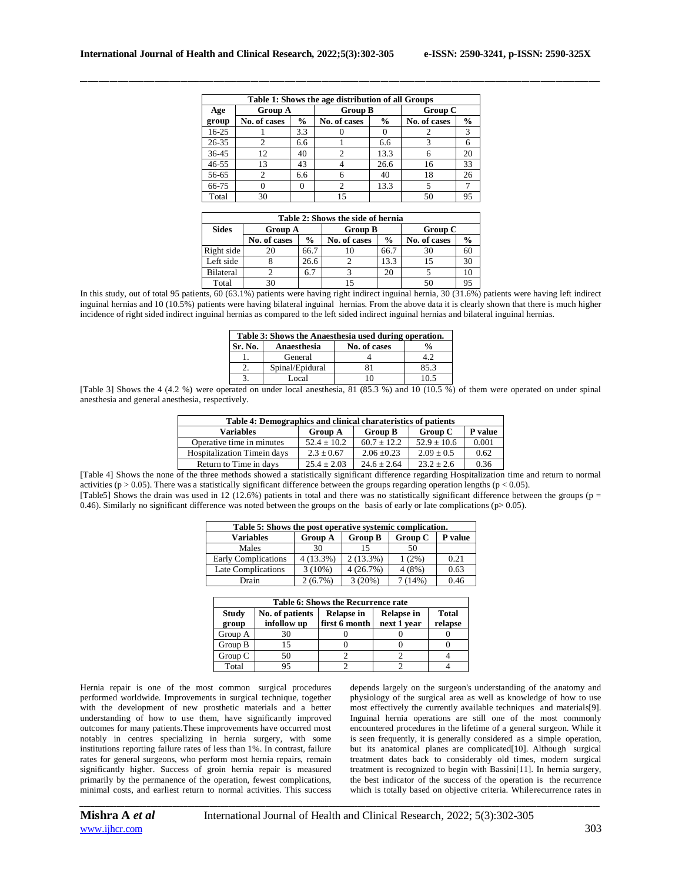| Table 1: Shows the age distribution of all Groups |                |               |                |               |              |               |  |
|---------------------------------------------------|----------------|---------------|----------------|---------------|--------------|---------------|--|
| Age                                               | <b>Group A</b> |               | <b>Group B</b> |               | Group C      |               |  |
| group                                             | No. of cases   | $\frac{0}{0}$ | No. of cases   | $\frac{0}{0}$ | No. of cases | $\frac{0}{0}$ |  |
| $16-25$                                           |                | 3.3           |                |               |              | 3             |  |
| $26 - 35$                                         | 2              | 6.6           |                | 6.6           |              | 6             |  |
| 36-45                                             | 12             | 40            |                | 13.3          |              | 20            |  |
| $46 - 55$                                         | 13             | 43            |                | 26.6          | 16           | 33            |  |
| 56-65                                             | っ              | 6.6           |                | 40            | 18           | 26            |  |
| 66-75                                             |                |               | 2              | 13.3          |              |               |  |
| Total                                             | 30             |               | 15             |               | 50           | 95            |  |

\_\_\_\_\_\_\_\_\_\_\_\_\_\_\_\_\_\_\_\_\_\_\_\_\_\_\_\_\_\_\_\_\_\_\_\_\_\_\_\_\_\_\_\_\_\_\_\_\_\_\_\_\_\_\_\_\_\_\_\_\_\_\_\_\_\_\_\_\_\_\_\_\_\_\_\_\_\_\_\_\_\_\_\_\_\_\_\_\_\_\_\_\_\_\_\_\_\_\_\_\_\_\_\_\_\_\_\_\_\_\_\_\_\_\_\_\_\_\_\_\_\_\_\_\_\_\_\_\_\_\_\_\_\_\_\_\_\_\_\_

| Table 2: Shows the side of hernia |                |               |                |               |              |               |  |
|-----------------------------------|----------------|---------------|----------------|---------------|--------------|---------------|--|
| <b>Sides</b>                      | <b>Group A</b> |               | <b>Group B</b> |               | Group C      |               |  |
|                                   | No. of cases   | $\frac{0}{0}$ | No. of cases   | $\frac{0}{0}$ | No. of cases | $\frac{0}{0}$ |  |
| Right side                        | 20             | 66.7          |                | 66.7          | 30           | 60            |  |
| Left side                         |                | 26.6          |                | 13.3          |              | 30            |  |
| <b>Bilateral</b>                  |                | 6.7           |                | 20            |              | 10            |  |
| Total                             |                |               |                |               |              |               |  |

In this study, out of total 95 patients, 60 (63.1%) patients were having right indirect inguinal hernia, 30 (31.6%) patients were having left indirect inguinal hernias and 10 (10.5%) patients were having bilateral inguinal hernias. From the above data it is clearly shown that there is much higher incidence of right sided indirect inguinal hernias as compared to the left sided indirect inguinal hernias and bilateral inguinal hernias.

| Table 3: Shows the Anaesthesia used during operation. |                 |              |               |  |  |  |
|-------------------------------------------------------|-----------------|--------------|---------------|--|--|--|
| Sr. No.                                               | Anaesthesia     | No. of cases | $\frac{0}{n}$ |  |  |  |
|                                                       | General         |              |               |  |  |  |
|                                                       | Spinal/Epidural |              | 85.3          |  |  |  |
|                                                       | Local           |              |               |  |  |  |

[Table 3] Shows the 4 (4.2 %) were operated on under local anesthesia, 81 (85.3 %) and 10 (10.5 %) of them were operated on under spinal anesthesia and general anesthesia, respectively.

| Table 4: Demographics and clinical charateristics of patients |                |                 |                 |         |  |  |
|---------------------------------------------------------------|----------------|-----------------|-----------------|---------|--|--|
| <b>Variables</b>                                              | <b>Group A</b> | <b>Group B</b>  | Group C         | P value |  |  |
| Operative time in minutes                                     | $52.4 + 10.2$  | $60.7 + 12.2$   | $52.9 \pm 10.6$ | 0.001   |  |  |
| Hospitalization Timein days                                   | $2.3 \pm 0.67$ | $2.06 \pm 0.23$ | $2.09 \pm 0.5$  | 0.62    |  |  |
| Return to Time in days                                        | $25.4 + 2.03$  | $24.6 \pm 2.64$ | $23.2 + 2.6$    | 0.36    |  |  |

[Table 4] Shows the none of the three methods showed a statistically significant difference regarding Hospitalization time and return to normal activities ( $p > 0.05$ ). There was a statistically significant difference between the groups regarding operation lengths ( $p < 0.05$ ). [Table5] Shows the drain was used in 12 (12.6%) patients in total and there was no statistically significant difference between the groups (p = 0.46). Similarly no significant difference was noted between the groups on the basis of early or late complications ( $p$ > 0.05).

| Table 5: Shows the post operative systemic complication. |                |                |         |         |  |  |
|----------------------------------------------------------|----------------|----------------|---------|---------|--|--|
| <b>Variables</b>                                         | <b>Group A</b> | <b>Group B</b> | Group C | P value |  |  |
| Males                                                    | 30             | 15             | 50      |         |  |  |
| <b>Early Complications</b>                               | 4 (13.3%)      | $2(13.3\%)$    | (2%)    | 0.21    |  |  |
| Late Complications                                       | $3(10\%)$      | 4(26.7%)       | 4(8%)   | 0.63    |  |  |
| Drain                                                    | $2(6.7\%)$     | 3(20%)         | 7(14%)  | 0.46    |  |  |

| Table 6: Shows the Recurrence rate |                                                               |  |                                  |                         |  |  |
|------------------------------------|---------------------------------------------------------------|--|----------------------------------|-------------------------|--|--|
| <b>Study</b><br>group              | No. of patients<br>Relapse in<br>first 6 month<br>infollow up |  | <b>Relapse in</b><br>next 1 year | <b>Total</b><br>relapse |  |  |
| Group A                            | 30                                                            |  |                                  |                         |  |  |
| Group B                            | 15                                                            |  |                                  |                         |  |  |
| Group C                            | 50                                                            |  |                                  |                         |  |  |
| Total                              |                                                               |  |                                  |                         |  |  |

Hernia repair is one of the most common surgical procedures performed worldwide. Improvements in surgical technique, together with the development of new prosthetic materials and a better understanding of how to use them, have significantly improved outcomes for many patients.These improvements have occurred most notably in centres specializing in hernia surgery, with some institutions reporting failure rates of less than 1%. In contrast, failure rates for general surgeons, who perform most hernia repairs, remain significantly higher. Success of groin hernia repair is measured primarily by the permanence of the operation, fewest complications, minimal costs, and earliest return to normal activities. This success

depends largely on the surgeon's understanding of the anatomy and physiology of the surgical area as well as knowledge of how to use most effectively the currently available techniques and materials[9]. Inguinal hernia operations are still one of the most commonly encountered procedures in the lifetime of a general surgeon. While it is seen frequently, it is generally considered as a simple operation, but its anatomical planes are complicated[10]. Although surgical treatment dates back to considerably old times, modern surgical treatment is recognized to begin with Bassini[11]. In hernia surgery, the best indicator of the success of the operation is the recurrence which is totally based on objective criteria. Whilerecurrence rates in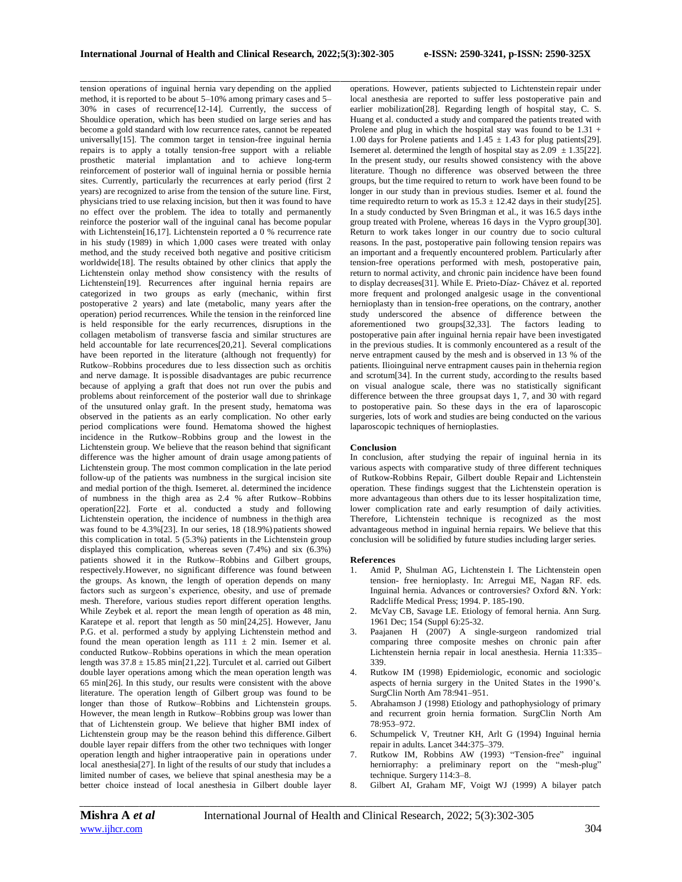tension operations of inguinal hernia vary depending on the applied method, it is reported to be about 5–10% among primary cases and 5– 30% in cases of recurrence[12-14]. Currently, the success of Shouldice operation, which has been studied on large series and has become a gold standard with low recurrence rates, cannot be repeated universally[15]. The common target in tension-free inguinal hernia repairs is to apply a totally tension-free support with a reliable prosthetic material implantation and to achieve long-term reinforcement of posterior wall of inguinal hernia or possible hernia sites. Currently, particularly the recurrences at early period (first 2 years) are recognized to arise from the tension of the suture line. First, physicians tried to use relaxing incision, but then it was found to have no effect over the problem. The idea to totally and permanently reinforce the posterior wall of the inguinal canal has become popular with Lichtenstein[16,17]. Lichtenstein reported a 0 % recurrence rate in his study (1989) in which 1,000 cases were treated with onlay method, and the study received both negative and positive criticism worldwide[18]. The results obtained by other clinics that apply the Lichtenstein onlay method show consistency with the results of Lichtenstein[19]. Recurrences after inguinal hernia repairs are categorized in two groups as early (mechanic, within first postoperative 2 years) and late (metabolic, many years after the operation) period recurrences. While the tension in the reinforced line is held responsible for the early recurrences, disruptions in the collagen metabolism of transverse fascia and similar structures are held accountable for late recurrences[20,21]. Several complications have been reported in the literature (although not frequently) for Rutkow–Robbins procedures due to less dissection such as orchitis and nerve damage. It is possible disadvantages are pubic recurrence because of applying a graft that does not run over the pubis and problems about reinforcement of the posterior wall due to shrinkage of the unsutured onlay graft. In the present study, hematoma was observed in the patients as an early complication. No other early period complications were found. Hematoma showed the highest incidence in the Rutkow–Robbins group and the lowest in the Lichtenstein group. We believe that the reason behind that significant difference was the higher amount of drain usage among patients of Lichtenstein group. The most common complication in the late period follow-up of the patients was numbness in the surgical incision site and medial portion of the thigh. Isemeret. al. determined the incidence of numbness in the thigh area as 2.4 % after Rutkow–Robbins operation[22]. Forte et al. conducted a study and following Lichtenstein operation, the incidence of numbness in the thigh area was found to be 4.3%[23]. In our series, 18 (18.9%) patients showed this complication in total. 5 (5.3%) patients in the Lichtenstein group displayed this complication, whereas seven (7.4%) and six (6.3%) patients showed it in the Rutkow–Robbins and Gilbert groups, respectively.However, no significant difference was found between the groups. As known, the length of operation depends on many factors such as surgeon's experience, obesity, and use of premade mesh. Therefore, various studies report different operation lengths. While Zeybek et al. report the mean length of operation as 48 min, Karatepe et al. report that length as 50 min[24,25]. However, Janu P.G. et al. performed a study by applying Lichtenstein method and found the mean operation length as  $111 \pm 2$  min. Isemer et al. conducted Rutkow–Robbins operations in which the mean operation length was 37.8 ± 15.85 min[21,22]. Turculet et al. carried out Gilbert double layer operations among which the mean operation length was 65 min[26]. In this study, our results were consistent with the above literature. The operation length of Gilbert group was found to be longer than those of Rutkow–Robbins and Lichtenstein groups. However, the mean length in Rutkow–Robbins group was lower than that of Lichtenstein group. We believe that higher BMI index of Lichtenstein group may be the reason behind this difference. Gilbert double layer repair differs from the other two techniques with longer operation length and higher intraoperative pain in operations under local anesthesia[27]. In light of the results of our study that includes a limited number of cases, we believe that spinal anesthesia may be a better choice instead of local anesthesia in Gilbert double layer

\_\_\_\_\_\_\_\_\_\_\_\_\_\_\_\_\_\_\_\_\_\_\_\_\_\_\_\_\_\_\_\_\_\_\_\_\_\_\_\_\_\_\_\_\_\_\_\_\_\_\_\_\_\_\_\_\_\_\_\_\_\_\_\_\_\_\_\_\_\_\_\_\_\_\_\_\_\_\_\_\_\_\_\_\_\_\_\_\_\_\_\_\_\_\_\_\_\_\_\_\_\_\_\_\_\_\_\_\_\_\_\_\_\_\_\_\_\_\_\_\_\_\_\_\_\_\_\_\_\_\_\_\_\_\_\_\_\_\_\_ operations. However, patients subjected to Lichtenstein repair under local anesthesia are reported to suffer less postoperative pain and earlier mobilization<sup>[28]</sup>. Regarding length of hospital stay, C. S. Huang et al. conducted a study and compared the patients treated with Prolene and plug in which the hospital stay was found to be 1.31 + 1.00 days for Prolene patients and  $1.45 \pm 1.43$  for plug patients[29]. Isemeret al. determined the length of hospital stay as  $2.09 \pm 1.35$ [22]. In the present study, our results showed consistency with the above literature. Though no difference was observed between the three groups, but the time required to return to work have been found to be longer in our study than in previous studies. Isemer et al. found the time required to return to work as  $15.3 \pm 12.42$  days in their study[25]. In a study conducted by Sven Bringman et al., it was 16.5 days inthe group treated with Prolene, whereas 16 days in the Vypro group[30]. Return to work takes longer in our country due to socio cultural reasons. In the past, postoperative pain following tension repairs was an important and a frequently encountered problem. Particularly after tension-free operations performed with mesh, postoperative pain, return to normal activity, and chronic pain incidence have been found to display decreases[31]. While E. Prieto-Díaz- Chávez et al. reported more frequent and prolonged analgesic usage in the conventional hernioplasty than in tension-free operations, on the contrary, another study underscored the absence of difference between the aforementioned two groups[32,33]. The factors leading to postoperative pain after inguinal hernia repair have been investigated in the previous studies. It is commonly encountered as a result of the nerve entrapment caused by the mesh and is observed in 13 % of the patients. Ilioinguinal nerve entrapment causes pain in thehernia region and scrotum[34]. In the current study, according to the results based on visual analogue scale, there was no statistically significant difference between the three groupsat days 1, 7, and 30 with regard to postoperative pain. So these days in the era of laparoscopic surgeries, lots of work and studies are being conducted on the various laparoscopic techniques of hernioplasties.

### **Conclusion**

In conclusion, after studying the repair of inguinal hernia in its various aspects with comparative study of three different techniques of Rutkow-Robbins Repair, Gilbert double Repair and Lichtenstein operation. These findings suggest that the Lichtenstein operation is more advantageous than others due to its lesser hospitalization time, lower complication rate and early resumption of daily activities. Therefore, Lichtenstein technique is recognized as the most advantageous method in inguinal hernia repairs. We believe that this conclusion will be solidified by future studies including larger series.

#### **References**

- 1. Amid P, Shulman AG, Lichtenstein I. The Lichtenstein open tension- free hernioplasty. In: Arregui ME, Nagan RF. eds. Inguinal hernia. Advances or controversies? Oxford &N. York: Radcliffe Medical Press; 1994. P. 185-190.
- 2. McVay CB, Savage LE. Etiology of femoral hernia. Ann Surg. 1961 Dec; 154 (Suppl 6):25-32.
- 3. Paajanen H (2007) A single-surgeon randomized trial comparing three composite meshes on chronic pain after Lichtenstein hernia repair in local anesthesia. Hernia 11:335– 339.
- 4. Rutkow IM (1998) Epidemiologic, economic and sociologic aspects of hernia surgery in the United States in the 1990's. SurgClin North Am 78:941–951.
- 5. Abrahamson J (1998) Etiology and pathophysiology of primary and recurrent groin hernia formation. SurgClin North Am 78:953–972.
- 6. Schumpelick V, Treutner KH, Arlt G (1994) Inguinal hernia repair in adults. Lancet 344:375–379.
- 7. Rutkow IM, Robbins AW (1993) "Tension-free" inguinal herniorraphy: a preliminary report on the "mesh-plug" technique. Surgery 114:3–8.
- 8. Gilbert AI, Graham MF, Voigt WJ (1999) A bilayer patch